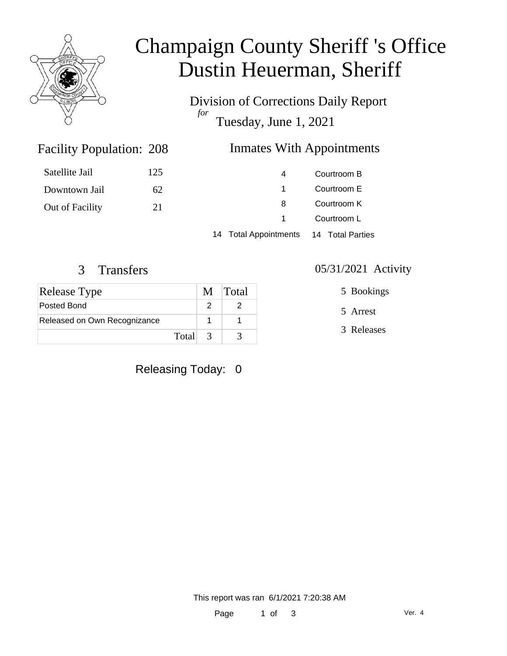

# Champaign County Sheriff 's Office Dustin Heuerman, Sheriff

Division of Corrections Daily Report *for* Tuesday, June 1, 2021

### Inmates With Appointments

| Satellite Jail  | 125 | 4                     | Courtroom B      |  |
|-----------------|-----|-----------------------|------------------|--|
|                 |     |                       | Courtroom E      |  |
| Downtown Jail   | 62  |                       |                  |  |
| Out of Facility | 21  | 8                     | Courtroom K      |  |
|                 |     |                       | Courtroom L      |  |
|                 |     | 14 Total Appointments | 14 Total Parties |  |

Facility Population: 208

| Release Type                 |         | M Total |
|------------------------------|---------|---------|
| Posted Bond                  |         |         |
| Released on Own Recognizance |         |         |
|                              | Total 3 |         |

Releasing Today: 0

3 Transfers 05/31/2021 Activity

5 Bookings

5 Arrest

3 Releases

This report was ran 6/1/2021 7:20:38 AM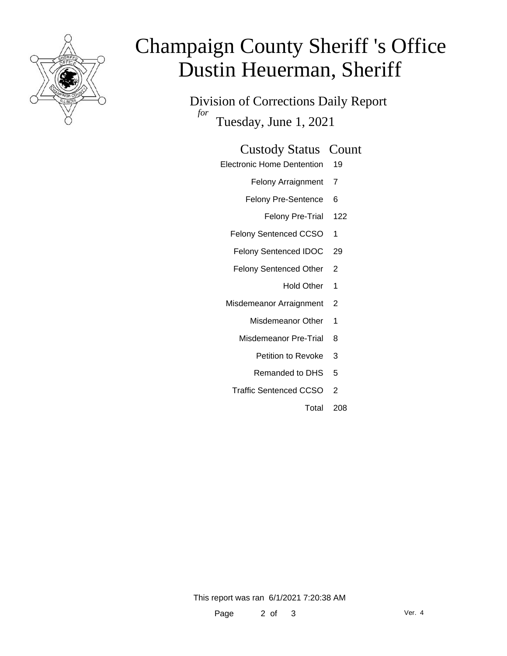

# Champaign County Sheriff 's Office Dustin Heuerman, Sheriff

Division of Corrections Daily Report *for* Tuesday, June 1, 2021

### Custody Status Count

Electronic Home Dentention 19

Felony Arraignment 7

- Felony Pre-Sentence 6
	- Felony Pre-Trial 122
- Felony Sentenced CCSO 1
- Felony Sentenced IDOC 29
- Felony Sentenced Other 2
	- Hold Other 1
- Misdemeanor Arraignment 2
	- Misdemeanor Other 1
	- Misdemeanor Pre-Trial 8
		- Petition to Revoke 3
		- Remanded to DHS 5
	- Traffic Sentenced CCSO 2
		- Total 208

This report was ran 6/1/2021 7:20:38 AM